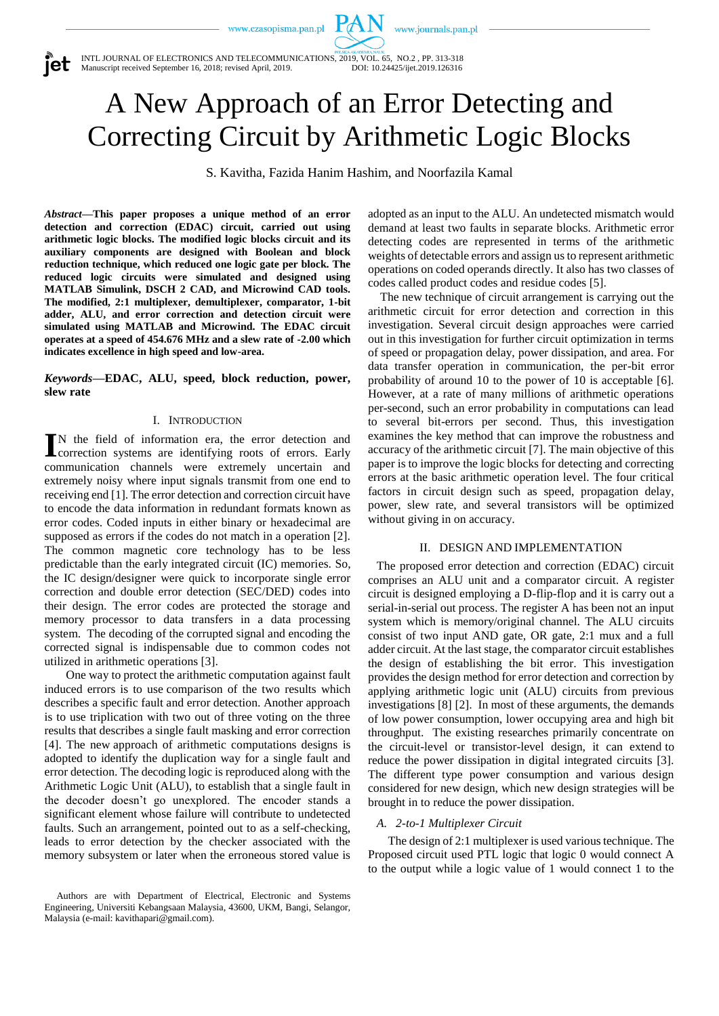www.journals.pan.pl

iet

INTL JOURNAL OF ELECTRONICS AND TELECOMMUNICATIONS, 2019, VOL. 65, NO.2, PP. 313-318<br>Manuscript received September 16, 2018; revised April, 2019. DOI: 10.24425/ijet.2019.126316 Manuscript received September 16, 2018; revised April, 2019.

# A New Approach of an Error Detecting and Correcting Circuit by Arithmetic Logic Blocks

 $P\Lambda$ 

S. Kavitha, Fazida Hanim Hashim, and Noorfazila Kamal

*Abstract***—This paper proposes a unique method of an error detection and correction (EDAC) circuit, carried out using arithmetic logic blocks. The modified logic blocks circuit and its auxiliary components are designed with Boolean and block reduction technique, which reduced one logic gate per block. The reduced logic circuits were simulated and designed using MATLAB Simulink, DSCH 2 CAD, and Microwind CAD tools. The modified, 2:1 multiplexer, demultiplexer, comparator, 1-bit adder, ALU, and error correction and detection circuit were simulated using MATLAB and Microwind. The EDAC circuit operates at a speed of 454.676 MHz and a slew rate of -2.00 which indicates excellence in high speed and low-area.**

*Keywords***—EDAC, ALU, speed, block reduction, power, slew rate**

#### I. INTRODUCTION

N the field of information era, the error detection and IN the field of information era, the error detection and correction systems are identifying roots of errors. Early communication channels were extremely uncertain and extremely noisy where input signals transmit from one end to receiving end [1]. The error detection and correction circuit have to encode the data information in redundant formats known as error codes. Coded inputs in either binary or hexadecimal are supposed as errors if the codes do not match in a operation [2]. The common magnetic core technology has to be less predictable than the early integrated circuit (IC) memories. So, the IC design/designer were quick to incorporate single error correction and double error detection (SEC/DED) codes into their design. The error codes are protected the storage and memory processor to data transfers in a data processing system. The decoding of the corrupted signal and encoding the corrected signal is indispensable due to common codes not utilized in arithmetic operations [3].

One way to protect the arithmetic computation against fault induced errors is to use comparison of the two results which describes a specific fault and error detection. Another approach is to use triplication with two out of three voting on the three results that describes a single fault masking and error correction [4]. The new approach of arithmetic computations designs is adopted to identify the duplication way for a single fault and error detection. The decoding logic is reproduced along with the Arithmetic Logic Unit (ALU), to establish that a single fault in the decoder doesn't go unexplored. The encoder stands a significant element whose failure will contribute to undetected faults. Such an arrangement, pointed out to as a self-checking, leads to error detection by the checker associated with the memory subsystem or later when the erroneous stored value is adopted as an input to the ALU. An undetected mismatch would demand at least two faults in separate blocks. Arithmetic error detecting codes are represented in terms of the arithmetic weights of detectable errors and assign us to represent arithmetic operations on coded operands directly. It also has two classes of codes called product codes and residue codes [5].

The new technique of circuit arrangement is carrying out the arithmetic circuit for error detection and correction in this investigation. Several circuit design approaches were carried out in this investigation for further circuit optimization in terms of speed or propagation delay, power dissipation, and area. For data transfer operation in communication, the per-bit error probability of around 10 to the power of 10 is acceptable [6]. However, at a rate of many millions of arithmetic operations per-second, such an error probability in computations can lead to several bit-errors per second. Thus, this investigation examines the key method that can improve the robustness and accuracy of the arithmetic circuit [7]. The main objective of this paper is to improve the logic blocks for detecting and correcting errors at the basic arithmetic operation level. The four critical factors in circuit design such as speed, propagation delay, power, slew rate, and several transistors will be optimized without giving in on accuracy.

#### II. DESIGN AND IMPLEMENTATION

The proposed error detection and correction (EDAC) circuit comprises an ALU unit and a comparator circuit. A register circuit is designed employing a D-flip-flop and it is carry out a serial-in-serial out process. The register A has been not an input system which is memory/original channel. The ALU circuits consist of two input AND gate, OR gate, 2:1 mux and a full adder circuit. At the last stage, the comparator circuit establishes the design of establishing the bit error. This investigation provides the design method for error detection and correction by applying arithmetic logic unit (ALU) circuits from previous investigations [8] [2]. In most of these arguments, the demands of low power consumption, lower occupying area and high bit throughput. The existing researches primarily concentrate on the circuit-level or transistor-level design, it can extend to reduce the power dissipation in digital integrated circuits [3]. The different type power consumption and various design considered for new design, which new design strategies will be brought in to reduce the power dissipation.

## *A. 2-to-1 Multiplexer Circuit*

The design of 2:1 multiplexer is used various technique. The Proposed circuit used PTL logic that logic 0 would connect A to the output while a logic value of 1 would connect 1 to the

Authors are with Department of Electrical, Electronic and Systems Engineering, Universiti Kebangsaan Malaysia, 43600, UKM, Bangi, Selangor, Malaysia (e-mail: kavithapari@gmail.com).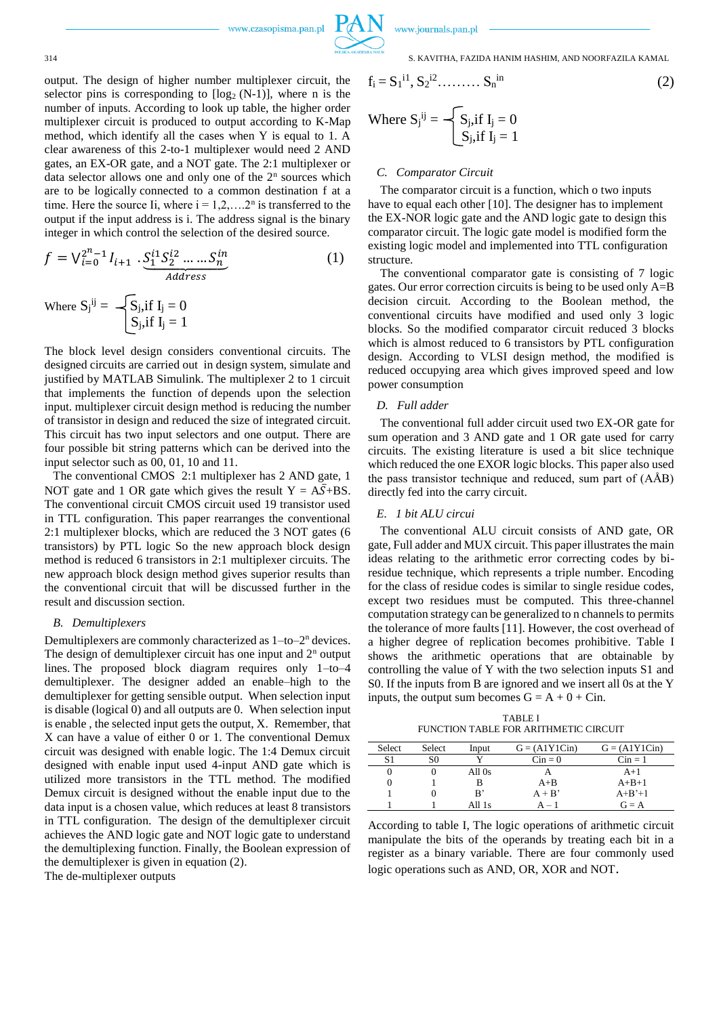

314 S. KAVITHA, FAZIDA HANIM HASHIM, AND NOORFAZILA KAMAL

output. The design of higher number multiplexer circuit, the selector pins is corresponding to 
$$
[log_2 (N-1)]
$$
, where n is the number of inputs. According to look up table, the higher order multiplexer circuit is produced to output according to K-Map method, which identify all the cases when Y is equal to 1. A clear awareness of this 2-to-1 multiplexer would need 2 AND gates, an EX-OR gate, and a NOT gate. The 2:1 multiplexer or data selector allows one and only one of the  $2^n$  sources which are to be logically connected to a common destination f at a time. Here the source Ii, where  $i = 1, 2, \ldots, 2^n$  is transferred to the output if the input address is i. The address signal is the binary integer in which control the selection of the desired source.

$$
f = \bigvee_{i=0}^{2^{n}-1} I_{i+1} \cdot \underbrace{S_1^{i1} S_2^{i2} \dots S_n^{in}}_{Address} \tag{1}
$$

Where 
$$
S_j^{ij} = \begin{cases} S_j & \text{if } I_j = 0 \\ S_j & \text{if } I_j = 1 \end{cases}
$$

The block level design considers conventional circuits. The designed circuits are carried out in design system, simulate and justified by MATLAB Simulink. The multiplexer 2 to 1 circuit that implements the function of depends upon the selection input. multiplexer circuit design method is reducing the number of transistor in design and reduced the size of integrated circuit. This circuit has two input selectors and one output. There are four possible bit string patterns which can be derived into the input selector such as 00, 01, 10 and 11.

The conventional CMOS 2:1 multiplexer has 2 AND gate, 1 NOT gate and 1 OR gate which gives the result  $Y = A\overline{S} + BS$ . The conventional circuit CMOS circuit used 19 transistor used in TTL configuration. This paper rearranges the conventional 2:1 multiplexer blocks, which are reduced the 3 NOT gates (6 transistors) by PTL logic So the new approach block design method is reduced 6 transistors in 2:1 multiplexer circuits. The new approach block design method gives superior results than the conventional circuit that will be discussed further in the result and discussion section.

### *B. Demultiplexers*

Demultiplexers are commonly characterized as  $1-to-2<sup>n</sup>$  devices. The design of demultiplexer circuit has one input and  $2<sup>n</sup>$  output lines. The proposed block diagram requires only 1–to–4 demultiplexer. The designer added an enable–high to the demultiplexer for getting sensible output. When selection input is disable (logical 0) and all outputs are 0. When selection input is enable , the selected input gets the output, X. Remember, that X can have a value of either 0 or 1. The conventional Demux circuit was designed with enable logic. The 1:4 Demux circuit designed with enable input used 4-input AND gate which is utilized more transistors in the TTL method. The modified Demux circuit is designed without the enable input due to the data input is a chosen value, which reduces at least 8 transistors in TTL configuration. The design of the demultiplexer circuit achieves the AND logic gate and NOT logic gate to understand the demultiplexing function. Finally, the Boolean expression of the demultiplexer is given in equation (2).

The de-multiplexer outputs

$$
f_i = S_1^{i1}, S_2^{i2}, \dots, S_n^{in}
$$
  
Where  $S_j^{ij} = \begin{cases} S_j, \text{if } I_j = 0 \\ S_j, \text{if } I_j = 1 \end{cases}$  (2)

#### *C. Comparator Circuit*

The comparator circuit is a function, which o two inputs have to equal each other [10]. The designer has to implement the EX-NOR logic gate and the AND logic gate to design this comparator circuit. The logic gate model is modified form the existing logic model and implemented into TTL configuration structure.

The conventional comparator gate is consisting of 7 logic gates. Our error correction circuits is being to be used only A=B decision circuit. According to the Boolean method, the conventional circuits have modified and used only 3 logic blocks. So the modified comparator circuit reduced 3 blocks which is almost reduced to 6 transistors by PTL configuration design. According to VLSI design method, the modified is reduced occupying area which gives improved speed and low power consumption

## *D. Full adder*

The conventional full adder circuit used two EX-OR gate for sum operation and 3 AND gate and 1 OR gate used for carry circuits. The existing literature is used a bit slice technique which reduced the one EXOR logic blocks. This paper also used the pass transistor technique and reduced, sum part of (AÅB) directly fed into the carry circuit.

#### *E. 1 bit ALU circui*

The conventional ALU circuit consists of AND gate, OR gate, Full adder and MUX circuit. This paper illustrates the main ideas relating to the arithmetic error correcting codes by biresidue technique, which represents a triple number. Encoding for the class of residue codes is similar to single residue codes, except two residues must be computed. This three-channel computation strategy can be generalized to n channels to permits the tolerance of more faults [11]. However, the cost overhead of a higher degree of replication becomes prohibitive. Table I shows the arithmetic operations that are obtainable by controlling the value of Y with the two selection inputs S1 and S0. If the inputs from B are ignored and we insert all 0s at the Y inputs, the output sum becomes  $G = A + 0 + C$ in.

TABLE I FUNCTION TABLE FOR ARITHMETIC CIRCUIT

| <b>Select</b> | <b>Select</b> | Input  | $G = (A1Y1Cin)$ | $G = (A1Y1Cin)$ |
|---------------|---------------|--------|-----------------|-----------------|
|               | S0            |        | $Cin = 0$       | $Cin = 1$       |
|               |               | All 0s |                 | $A+1$           |
|               |               |        | $A + B$         | $A+B+1$         |
|               |               | B'     | $A + B'$        | $A+B'+1$        |
|               |               | All 1s | $A -$           | $G = A$         |

According to table I, The logic operations of arithmetic circuit manipulate the bits of the operands by treating each bit in a register as a binary variable. There are four commonly used logic operations such as AND, OR, XOR and NOT.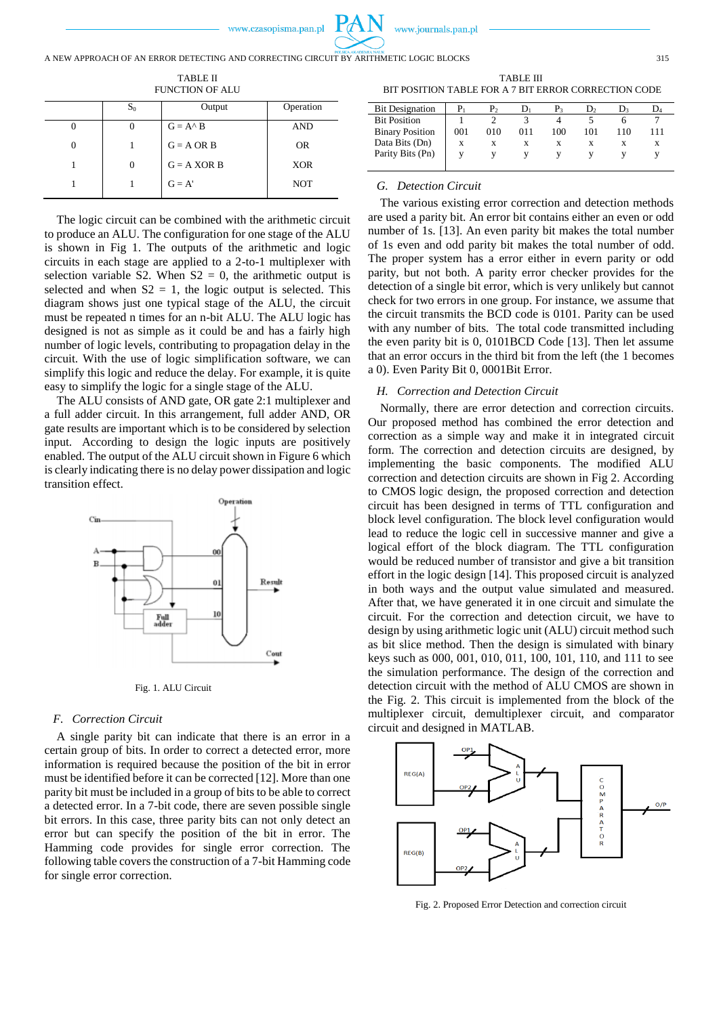

TABLE II FUNCTION OF ALU

| $S_0$ | Output             | Operation  |
|-------|--------------------|------------|
| O     | $G = A^{\wedge} B$ | <b>AND</b> |
|       | $G = A \tOR B$     | <b>OR</b>  |
| 0     | $G = A XOR B$      | <b>XOR</b> |
|       | $G = A'$           | <b>NOT</b> |

The logic circuit can be combined with the arithmetic circuit to produce an ALU. The configuration for one stage of the ALU is shown in Fig 1. The outputs of the arithmetic and logic circuits in each stage are applied to a 2-to-1 multiplexer with selection variable S2. When  $S2 = 0$ , the arithmetic output is selected and when  $S2 = 1$ , the logic output is selected. This diagram shows just one typical stage of the ALU, the circuit must be repeated n times for an n-bit ALU. The ALU logic has designed is not as simple as it could be and has a fairly high number of logic levels, contributing to propagation delay in the circuit. With the use of logic simplification software, we can simplify this logic and reduce the delay. For example, it is quite easy to simplify the logic for a single stage of the ALU.

The ALU consists of AND gate, OR gate 2:1 multiplexer and a full adder circuit. In this arrangement, full adder AND, OR gate results are important which is to be considered by selection input. According to design the logic inputs are positively enabled. The output of the ALU circuit shown in Figure 6 which is clearly indicating there is no delay power dissipation and logic transition effect.



Fig. 1. ALU Circuit

## *F. Correction Circuit*

A single parity bit can indicate that there is an error in a certain group of bits. In order to correct a detected error, more information is required because the position of the bit in error must be identified before it can be corrected [12]. More than one parity bit must be included in a group of bits to be able to correct a detected error. In a 7-bit code, there are seven possible single bit errors. In this case, three parity bits can not only detect an error but can specify the position of the bit in error. The Hamming code provides for single error correction. The following table covers the construction of a 7-bit Hamming code for single error correction.

TABLE III BIT POSITION TABLE FOR A 7 BIT ERROR CORRECTION CODE

| <b>Bit Designation</b> |     | P,  | IJ, | P2  | D,  |     | D,  |
|------------------------|-----|-----|-----|-----|-----|-----|-----|
| <b>Bit Position</b>    |     |     |     |     |     |     |     |
| <b>Binary Position</b> | 001 | 010 | 011 | 100 | 101 | 110 | 111 |
| Data Bits (Dn)         | X   | X   | x   | X   | x   | x   | X   |
| Parity Bits (Pn)       |     |     |     |     |     |     |     |
|                        |     |     |     |     |     |     |     |

#### *G. Detection Circuit*

The various existing error correction and detection methods are used a parity bit. An error bit contains either an even or odd number of 1s. [13]. An even parity bit makes the total number of 1s even and odd parity bit makes the total number of odd. The proper system has a error either in evern parity or odd parity, but not both. A parity error checker provides for the detection of a single bit error, which is very unlikely but cannot check for two errors in one group. For instance, we assume that the circuit transmits the BCD code is 0101. Parity can be used with any number of bits. The total code transmitted including the even parity bit is 0, 0101BCD Code [13]. Then let assume that an error occurs in the third bit from the left (the 1 becomes a 0). Even Parity Bit 0, 0001Bit Error.

## *H. Correction and Detection Circuit*

Normally, there are error detection and correction circuits. Our proposed method has combined the error detection and correction as a simple way and make it in integrated circuit form. The correction and detection circuits are designed, by implementing the basic components. The modified ALU correction and detection circuits are shown in Fig 2. According to CMOS logic design, the proposed correction and detection circuit has been designed in terms of TTL configuration and block level configuration. The block level configuration would lead to reduce the logic cell in successive manner and give a logical effort of the block diagram. The TTL configuration would be reduced number of transistor and give a bit transition effort in the logic design [14]. This proposed circuit is analyzed in both ways and the output value simulated and measured. After that, we have generated it in one circuit and simulate the circuit. For the correction and detection circuit, we have to design by using arithmetic logic unit (ALU) circuit method such as bit slice method. Then the design is simulated with binary keys such as 000, 001, 010, 011, 100, 101, 110, and 111 to see the simulation performance. The design of the correction and detection circuit with the method of ALU CMOS are shown in the Fig. 2. This circuit is implemented from the block of the multiplexer circuit, demultiplexer circuit, and comparator circuit and designed in MATLAB.



Fig. 2. Proposed Error Detection and correction circuit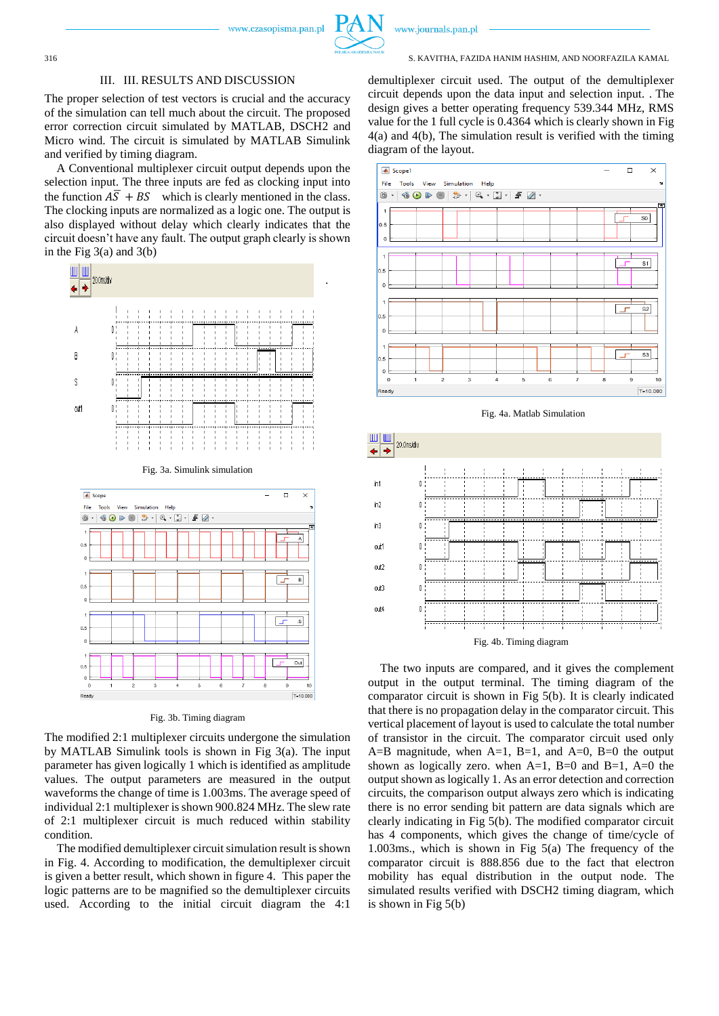

.

Out

#### www.journals.pan.pl

#### 316 S. KAVITHA, FAZIDA HANIM HASHIM, AND NOORFAZILA KAMAL

### III. III. RESULTS AND DISCUSSION

The proper selection of test vectors is crucial and the accuracy of the simulation can tell much about the circuit. The proposed error correction circuit simulated by MATLAB, DSCH2 and Micro wind. The circuit is simulated by MATLAB Simulink and verified by timing diagram.

A Conventional multiplexer circuit output depends upon the selection input. The three inputs are fed as clocking input into the function  $\overline{AS} + \overline{BS}$  which is clearly mentioned in the class. The clocking inputs are normalized as a logic one. The output is also displayed without delay which clearly indicates that the circuit doesn't have any fault. The output graph clearly is shown in the Fig  $3(a)$  and  $3(b)$ 



Fig. 3b. Timing diagram

Read

The modified 2:1 multiplexer circuits undergone the simulation by MATLAB Simulink tools is shown in Fig 3(a). The input parameter has given logically 1 which is identified as amplitude values. The output parameters are measured in the output waveforms the change of time is 1.003ms. The average speed of individual 2:1 multiplexer is shown 900.824 MHz. The slew rate of 2:1 multiplexer circuit is much reduced within stability condition.

The modified demultiplexer circuit simulation result is shown in Fig. 4. According to modification, the demultiplexer circuit is given a better result, which shown in figure 4. This paper the logic patterns are to be magnified so the demultiplexer circuits used. According to the initial circuit diagram the 4:1

demultiplexer circuit used. The output of the demultiplexer circuit depends upon the data input and selection input. . The design gives a better operating frequency 539.344 MHz, RMS value for the 1 full cycle is 0.4364 which is clearly shown in Fig 4(a) and 4(b), The simulation result is verified with the timing diagram of the layout.





The two inputs are compared, and it gives the complement output in the output terminal. The timing diagram of the comparator circuit is shown in Fig 5(b). It is clearly indicated that there is no propagation delay in the comparator circuit. This vertical placement of layout is used to calculate the total number of transistor in the circuit. The comparator circuit used only A=B magnitude, when A=1, B=1, and A=0, B=0 the output shown as logically zero. when  $A=1$ ,  $B=0$  and  $B=1$ ,  $A=0$  the output shown as logically 1. As an error detection and correction circuits, the comparison output always zero which is indicating there is no error sending bit pattern are data signals which are clearly indicating in Fig 5(b). The modified comparator circuit has 4 components, which gives the change of time/cycle of 1.003ms., which is shown in Fig 5(a) The frequency of the comparator circuit is 888.856 due to the fact that electron mobility has equal distribution in the output node. The simulated results verified with DSCH2 timing diagram, which is shown in Fig 5(b)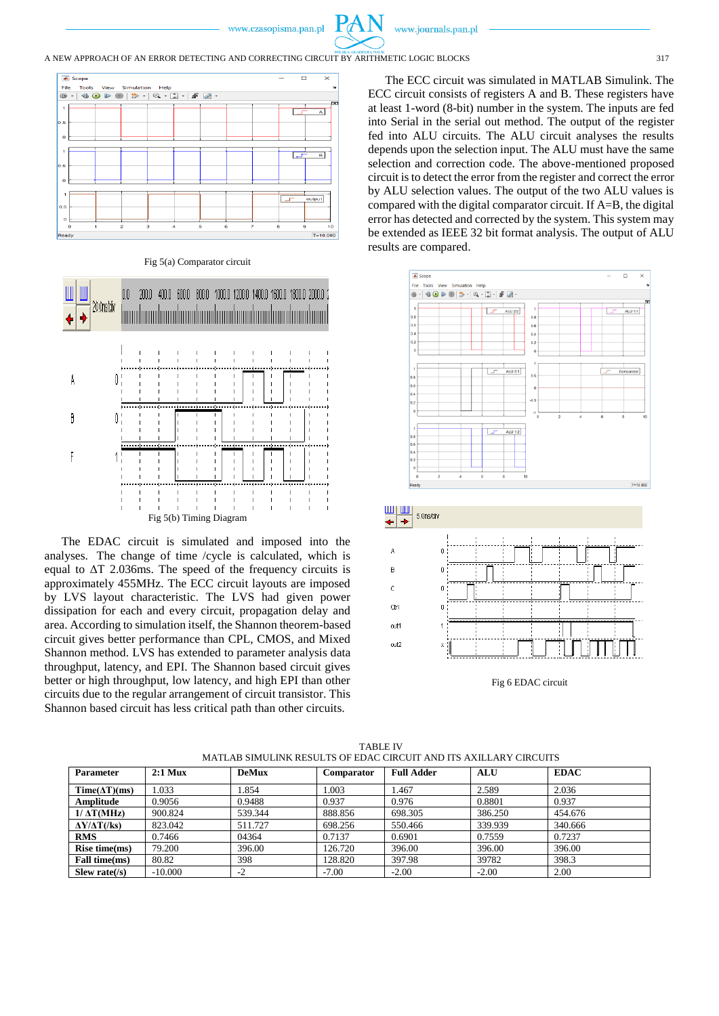## A NEW APPROACH OF AN ERROR DETECTING AND CORRECTING CIRCUIT BY ARITHMETIC LOGIC BLOCKS 317







The EDAC circuit is simulated and imposed into the analyses. The change of time /cycle is calculated, which is equal to ΔT 2.036ms. The speed of the frequency circuits is approximately 455MHz. The ECC circuit layouts are imposed by LVS layout characteristic. The LVS had given power dissipation for each and every circuit, propagation delay and area. According to simulation itself, the Shannon theorem-based circuit gives better performance than CPL, CMOS, and Mixed Shannon method. LVS has extended to parameter analysis data throughput, latency, and EPI. The Shannon based circuit gives better or high throughput, low latency, and high EPI than other circuits due to the regular arrangement of circuit transistor. This Shannon based circuit has less critical path than other circuits.

The ECC circuit was simulated in MATLAB Simulink. The ECC circuit consists of registers A and B. These registers have at least 1-word (8-bit) number in the system. The inputs are fed into Serial in the serial out method. The output of the register fed into ALU circuits. The ALU circuit analyses the results depends upon the selection input. The ALU must have the same selection and correction code. The above-mentioned proposed circuit is to detect the error from the register and correct the error by ALU selection values. The output of the two ALU values is compared with the digital comparator circuit. If A=B, the digital error has detected and corrected by the system. This system may be extended as IEEE 32 bit format analysis. The output of ALU results are compared.





Fig 6 EDAC circuit

| <b>Parameter</b>          | $2:1$ Mux | <b>DeMux</b> | <b>Comparator</b> | <b>Full Adder</b> | <b>ALU</b> | <b>EDAC</b> |
|---------------------------|-----------|--------------|-------------------|-------------------|------------|-------------|
| $Time(\Delta T)(ms)$      | .033      | 1.854        | 1.003             | 1.467             | 2.589      | 2.036       |
| Amplitude                 | 0.9056    | 0.9488       | 0.937             | 0.976             | 0.8801     | 0.937       |
| $1/\Delta T(MHz)$         | 900.824   | 539.344      | 888.856           | 698.305           | 386.250    | 454.676     |
| $\Delta Y/\Delta T$ (/ks) | 823.042   | 511.727      | 698.256           | 550.466           | 339.939    | 340.666     |
| <b>RMS</b>                | 0.7466    | 04364        | 0.7137            | 0.6901            | 0.7559     | 0.7237      |
| Rise time(ms)             | 79.200    | 396.00       | 126.720           | 396.00            | 396.00     | 396.00      |
| Fall time(ms)             | 80.82     | 398          | 128.820           | 397.98            | 39782      | 398.3       |
| Slew rate $( s\rangle$    | $-10,000$ | $-2$         | $-7.00$           | $-2.00$           | $-2.00$    | 2.00        |

TABLE IV MATLAB SIMULINK RESULTS OF EDAC CIRCUIT AND ITS AXILLARY CIRCUITS